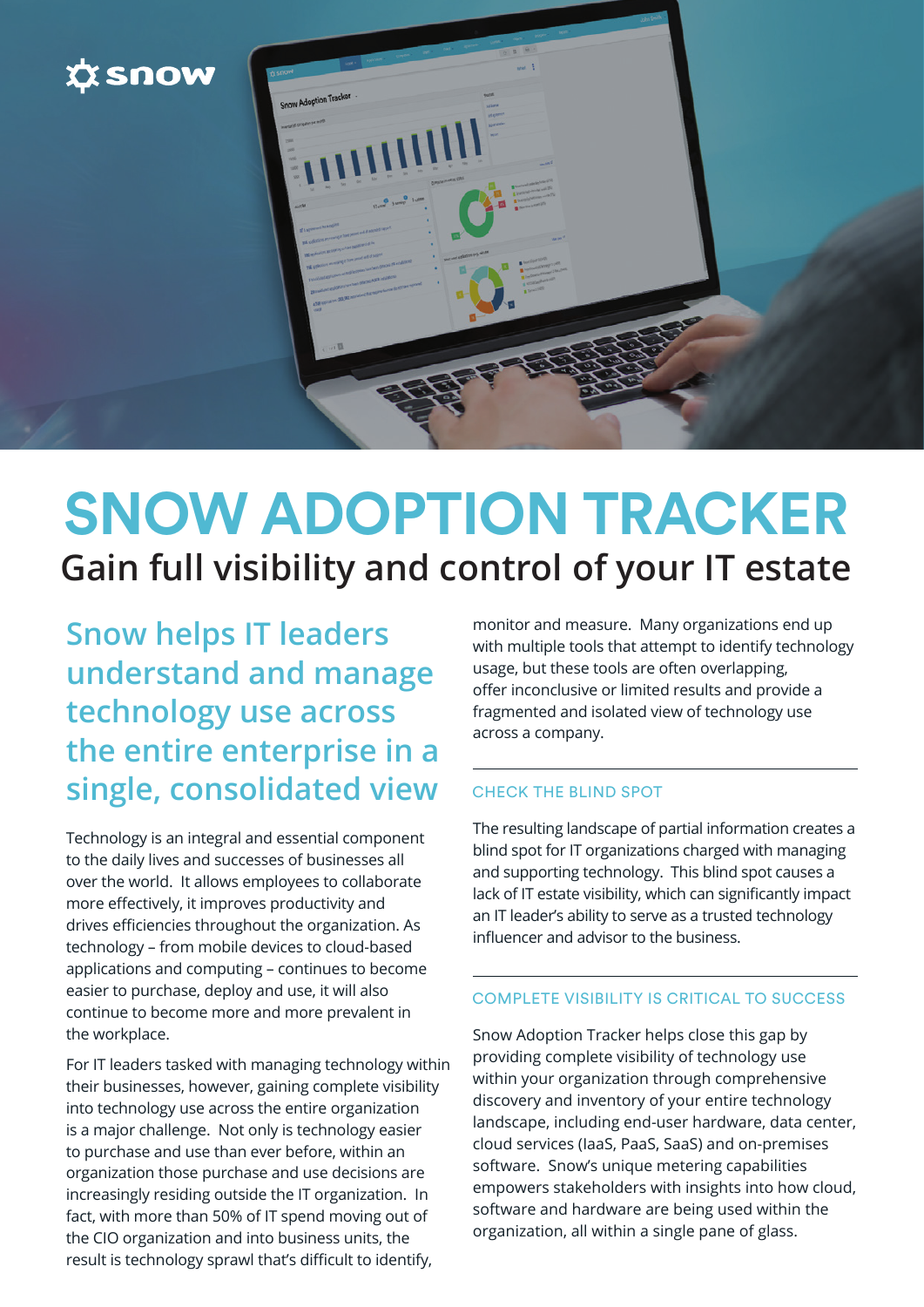

# **SNOW ADOPTION TRACKER Gain full visibility and control of your IT estate**

**Snow helps IT leaders understand and manage technology use across the entire enterprise in a single, consolidated view** 

Technology is an integral and essential component to the daily lives and successes of businesses all over the world. It allows employees to collaborate more effectively, it improves productivity and drives efficiencies throughout the organization. As technology – from mobile devices to cloud-based applications and computing – continues to become easier to purchase, deploy and use, it will also continue to become more and more prevalent in the workplace.

For IT leaders tasked with managing technology within their businesses, however, gaining complete visibility into technology use across the entire organization is a major challenge. Not only is technology easier to purchase and use than ever before, within an organization those purchase and use decisions are increasingly residing outside the IT organization. In fact, with more than 50% of IT spend moving out of the CIO organization and into business units, the result is technology sprawl that's difficult to identify,

monitor and measure. Many organizations end up with multiple tools that attempt to identify technology usage, but these tools are often overlapping, offer inconclusive or limited results and provide a fragmented and isolated view of technology use across a company.

### CHECK THE BLIND SPOT

The resulting landscape of partial information creates a blind spot for IT organizations charged with managing and supporting technology. This blind spot causes a lack of IT estate visibility, which can significantly impact an IT leader's ability to serve as a trusted technology influencer and advisor to the business.

#### COMPLETE VISIBILITY IS CRITICAL TO SUCCESS

Snow Adoption Tracker helps close this gap by providing complete visibility of technology use within your organization through comprehensive discovery and inventory of your entire technology landscape, including end-user hardware, data center, cloud services (IaaS, PaaS, SaaS) and on-premises software. Snow's unique metering capabilities empowers stakeholders with insights into how cloud, software and hardware are being used within the organization, all within a single pane of glass.